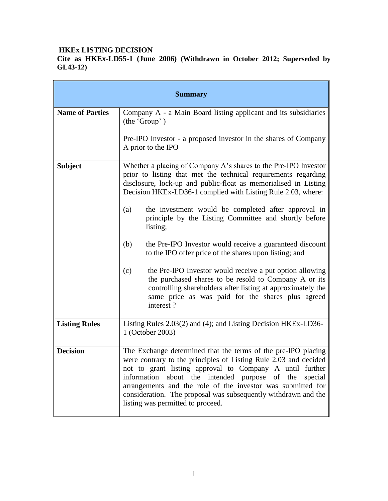# **HKEx LISTING DECISION**

**Cite as HKEx-LD55-1 (June 2006) (Withdrawn in October 2012; Superseded by GL43-12)**

| <b>Summary</b>         |                                                                                                                                                                                                                                                                                                                                                                                                                                                                                                                                                                                                                                                                                                                                                                                                   |
|------------------------|---------------------------------------------------------------------------------------------------------------------------------------------------------------------------------------------------------------------------------------------------------------------------------------------------------------------------------------------------------------------------------------------------------------------------------------------------------------------------------------------------------------------------------------------------------------------------------------------------------------------------------------------------------------------------------------------------------------------------------------------------------------------------------------------------|
| <b>Name of Parties</b> | Company A - a Main Board listing applicant and its subsidiaries<br>(the 'Group')<br>Pre-IPO Investor - a proposed investor in the shares of Company<br>A prior to the IPO                                                                                                                                                                                                                                                                                                                                                                                                                                                                                                                                                                                                                         |
| <b>Subject</b>         | Whether a placing of Company A's shares to the Pre-IPO Investor<br>prior to listing that met the technical requirements regarding<br>disclosure, lock-up and public-float as memorialised in Listing<br>Decision HKEx-LD36-1 complied with Listing Rule 2.03, where:<br>the investment would be completed after approval in<br>(a)<br>principle by the Listing Committee and shortly before<br>listing;<br>(b)<br>the Pre-IPO Investor would receive a guaranteed discount<br>to the IPO offer price of the shares upon listing; and<br>(c)<br>the Pre-IPO Investor would receive a put option allowing<br>the purchased shares to be resold to Company A or its<br>controlling shareholders after listing at approximately the<br>same price as was paid for the shares plus agreed<br>interest? |
| <b>Listing Rules</b>   | Listing Rules 2.03(2) and (4); and Listing Decision HKEx-LD36-<br>1 (October 2003)                                                                                                                                                                                                                                                                                                                                                                                                                                                                                                                                                                                                                                                                                                                |
| <b>Decision</b>        | The Exchange determined that the terms of the pre-IPO placing<br>were contrary to the principles of Listing Rule 2.03 and decided<br>not to grant listing approval to Company A until further<br>information about the intended purpose of the special<br>arrangements and the role of the investor was submitted for<br>consideration. The proposal was subsequently withdrawn and the<br>listing was permitted to proceed.                                                                                                                                                                                                                                                                                                                                                                      |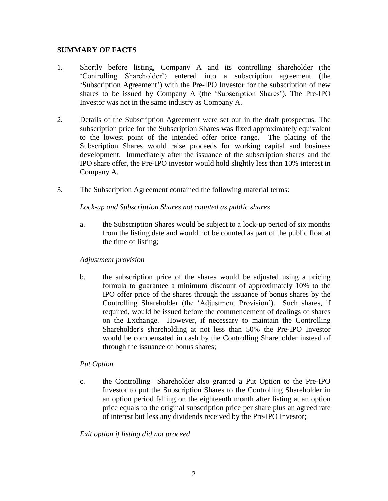## **SUMMARY OF FACTS**

- 1. Shortly before listing, Company A and its controlling shareholder (the 'Controlling Shareholder') entered into a subscription agreement (the 'Subscription Agreement') with the Pre-IPO Investor for the subscription of new shares to be issued by Company A (the 'Subscription Shares'). The Pre-IPO Investor was not in the same industry as Company A.
- 2. Details of the Subscription Agreement were set out in the draft prospectus. The subscription price for the Subscription Shares was fixed approximately equivalent to the lowest point of the intended offer price range. The placing of the Subscription Shares would raise proceeds for working capital and business development. Immediately after the issuance of the subscription shares and the IPO share offer, the Pre-IPO investor would hold slightly less than 10% interest in Company A.
- 3. The Subscription Agreement contained the following material terms:

# *Lock-up and Subscription Shares not counted as public shares*

a. the Subscription Shares would be subject to a lock-up period of six months from the listing date and would not be counted as part of the public float at the time of listing;

#### *Adjustment provision*

b. the subscription price of the shares would be adjusted using a pricing formula to guarantee a minimum discount of approximately 10% to the IPO offer price of the shares through the issuance of bonus shares by the Controlling Shareholder (the 'Adjustment Provision'). Such shares, if required, would be issued before the commencement of dealings of shares on the Exchange. However, if necessary to maintain the Controlling Shareholder's shareholding at not less than 50% the Pre-IPO Investor would be compensated in cash by the Controlling Shareholder instead of through the issuance of bonus shares;

# *Put Option*

c. the Controlling Shareholder also granted a Put Option to the Pre-IPO Investor to put the Subscription Shares to the Controlling Shareholder in an option period falling on the eighteenth month after listing at an option price equals to the original subscription price per share plus an agreed rate of interest but less any dividends received by the Pre-IPO Investor;

# *Exit option if listing did not proceed*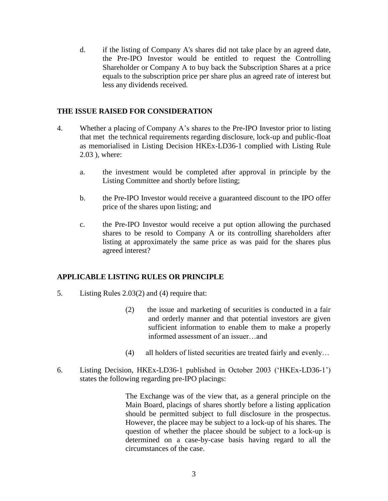d. if the listing of Company A's shares did not take place by an agreed date, the Pre-IPO Investor would be entitled to request the Controlling Shareholder or Company A to buy back the Subscription Shares at a price equals to the subscription price per share plus an agreed rate of interest but less any dividends received.

### **THE ISSUE RAISED FOR CONSIDERATION**

- 4. Whether a placing of Company A's shares to the Pre-IPO Investor prior to listing that met the technical requirements regarding disclosure, lock-up and public-float as memorialised in Listing Decision HKEx-LD36-1 complied with Listing Rule 2.03 ), where:
	- a. the investment would be completed after approval in principle by the Listing Committee and shortly before listing;
	- b. the Pre-IPO Investor would receive a guaranteed discount to the IPO offer price of the shares upon listing; and
	- c. the Pre-IPO Investor would receive a put option allowing the purchased shares to be resold to Company A or its controlling shareholders after listing at approximately the same price as was paid for the shares plus agreed interest?

# **APPLICABLE LISTING RULES OR PRINCIPLE**

- 5. Listing Rules 2.03(2) and (4) require that:
	- (2) the issue and marketing of securities is conducted in a fair and orderly manner and that potential investors are given sufficient information to enable them to make a properly informed assessment of an issuer…and
	- (4) all holders of listed securities are treated fairly and evenly…
- 6. Listing Decision, HKEx-LD36-1 published in October 2003 ('HKEx-LD36-1') states the following regarding pre-IPO placings:

 The Exchange was of the view that, as a general principle on the Main Board, placings of shares shortly before a listing application should be permitted subject to full disclosure in the prospectus. However, the placee may be subject to a lock-up of his shares. The question of whether the placee should be subject to a lock-up is determined on a case-by-case basis having regard to all the circumstances of the case.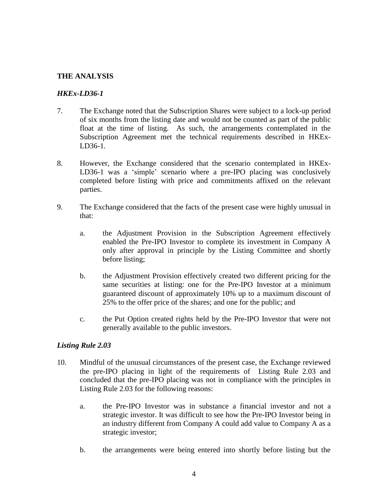### **THE ANALYSIS**

## *HKEx-LD36-1*

- 7. The Exchange noted that the Subscription Shares were subject to a lock-up period of six months from the listing date and would not be counted as part of the public float at the time of listing. As such, the arrangements contemplated in the Subscription Agreement met the technical requirements described in HKEx-LD36-1.
- 8. However, the Exchange considered that the scenario contemplated in HKEx-LD36-1 was a 'simple' scenario where a pre-IPO placing was conclusively completed before listing with price and commitments affixed on the relevant parties.
- 9. The Exchange considered that the facts of the present case were highly unusual in that:
	- a. the Adjustment Provision in the Subscription Agreement effectively enabled the Pre-IPO Investor to complete its investment in Company A only after approval in principle by the Listing Committee and shortly before listing;
	- b. the Adjustment Provision effectively created two different pricing for the same securities at listing: one for the Pre-IPO Investor at a minimum guaranteed discount of approximately 10% up to a maximum discount of 25% to the offer price of the shares; and one for the public; and
	- c. the Put Option created rights held by the Pre-IPO Investor that were not generally available to the public investors.

#### *Listing Rule 2.03*

- 10. Mindful of the unusual circumstances of the present case, the Exchange reviewed the pre-IPO placing in light of the requirements of Listing Rule 2.03 and concluded that the pre-IPO placing was not in compliance with the principles in Listing Rule 2.03 for the following reasons:
	- a. the Pre-IPO Investor was in substance a financial investor and not a strategic investor. It was difficult to see how the Pre-IPO Investor being in an industry different from Company A could add value to Company A as a strategic investor;
	- b. the arrangements were being entered into shortly before listing but the